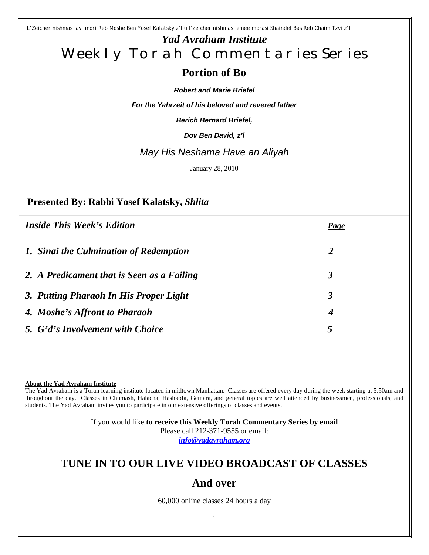*L'Zeicher nishmas avi mori Reb Moshe Ben Yosef Kalatsky z'l u l'zeicher nishmas emee morasi Shaindel Bas Reb Chaim Tzvi z'l*

# *Yad Avraham Institute* Weekly Torah Commentaries Series

# **Portion of Bo**

#### *Robert and Marie Briefel*

*For the Yahrzeit of his beloved and revered father*

*Berich Bernard Briefel,*

*Dov Ben David, z'l*

### *May His Neshama Have an Aliyah*

January 28, 2010

### **Presented By: Rabbi Yosef Kalatsky,** *Shlita*

| <b>Inside This Week's Edition</b>          | <b>Page</b>          |
|--------------------------------------------|----------------------|
| 1. Sinai the Culmination of Redemption     | $\overline{2}$       |
| 2. A Predicament that is Seen as a Failing | 3                    |
| 3. Putting Pharaoh In His Proper Light     | $\boldsymbol{\beta}$ |
| 4. Moshe's Affront to Pharaoh              | 4                    |
| 5. G'd's Involvement with Choice           | 5                    |

**About the Yad Avraham Institute**

The Yad Avraham is a Torah learning institute located in midtown Manhattan. Classes are offered every day during the week starting at 5:50am and throughout the day. Classes in Chumash, Halacha, Hashkofa, Gemara, and general topics are well attended by businessmen, professionals, and students. The Yad Avraham invites you to participate in our extensive offerings of classes and events.

> If you would like **to receive this Weekly Torah Commentary Series by email** Please call 212-371-9555 or email: *info@yadavraham.org*

# **TUNE IN TO OUR LIVE VIDEO BROADCAST OF CLASSES**

## **And over**

60,000 online classes 24 hours a day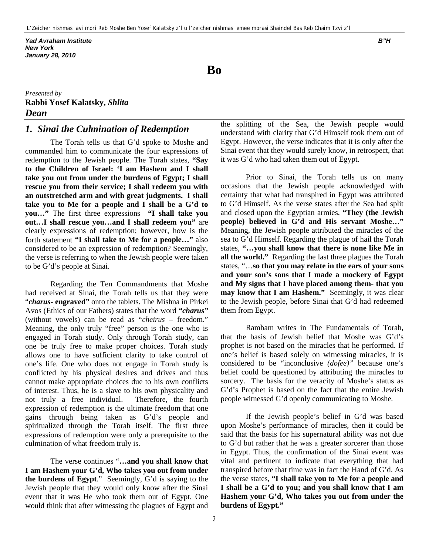*Yad Avraham Institute B"H New York January 28, 2010*

**Bo**

*Presented by* **Rabbi Yosef Kalatsky,** *Shlita Dean* 

#### *1. Sinai the Culmination of Redemption*

The Torah tells us that G'd spoke to Moshe and commanded him to communicate the four expressions of redemption to the Jewish people. The Torah states, **"Say to the Children of Israel: 'I am Hashem and I shall take you out from under the burdens of Egypt; I shall rescue you from their service; I shall redeem you with an outstretched arm and with great judgments. I shall take you to Me for a people and I shall be a G'd to you…"** The first three expressions **"I shall take you out…I shall rescue you…and I shall redeem you"** are clearly expressions of redemption; however, how is the forth statement **"I shall take to Me for a people…"** also considered to be an expression of redemption? Seemingly, the verse is referring to when the Jewish people were taken to be G'd's people at Sinai.

Regarding the Ten Commandments that Moshe had received at Sinai, the Torah tells us that they were "*charus***- engraved"** onto the tablets. The Mishna in Pirkei Avos (Ethics of our Fathers) states that the word *"charus"* (without vowels) can be read as "*cheirus* – freedom." Meaning, the only truly "free" person is the one who is engaged in Torah study. Only through Torah study, can one be truly free to make proper choices. Torah study allows one to have sufficient clarity to take control of one's life. One who does not engage in Torah study is conflicted by his physical desires and drives and thus cannot make appropriate choices due to his own conflicts of interest. Thus, he is a slave to his own physicality and not truly a free individual. Therefore, the fourth expression of redemption is the ultimate freedom that one gains through being taken as G'd's people and spiritualized through the Torah itself. The first three expressions of redemption were only a prerequisite to the culmination of what freedom truly is.

The verse continues "**…and you shall know that I am Hashem your G'd, Who takes you out from under the burdens of Egypt**." Seemingly, G'd is saying to the Jewish people that they would only know after the Sinai event that it was He who took them out of Egypt. One would think that after witnessing the plagues of Egypt and

the splitting of the Sea, the Jewish people would understand with clarity that G'd Himself took them out of Egypt. However, the verse indicates that it is only after the Sinai event that they would surely know, in retrospect, that it was G'd who had taken them out of Egypt.

Prior to Sinai, the Torah tells us on many occasions that the Jewish people acknowledged with certainty that what had transpired in Egypt was attributed to G'd Himself. As the verse states after the Sea had split and closed upon the Egyptian armies, **"They (the Jewish people) believed in G'd and His servant Moshe…"** Meaning, the Jewish people attributed the miracles of the sea to G'd Himself. Regarding the plague of hail the Torah states, **"…you shall know that there is none like Me in all the world."** Regarding the last three plagues the Torah states, "…**so that you may relate in the ears of your sons and your son's sons that I made a mockery of Egypt and My signs that I have placed among them- that you may know that I am Hashem."** Seemingly, it was clear to the Jewish people, before Sinai that G'd had redeemed them from Egypt.

Rambam writes in The Fundamentals of Torah, that the basis of Jewish belief that Moshe was G'd's prophet is not based on the miracles that he performed. If one's belief is based solely on witnessing miracles, it is considered to be "inconclusive *(dofee)"* because one's belief could be questioned by attributing the miracles to sorcery. The basis for the veracity of Moshe's status as G'd's Prophet is based on the fact that the entire Jewish people witnessed G'd openly communicating to Moshe.

If the Jewish people's belief in G'd was based upon Moshe's performance of miracles, then it could be said that the basis for his supernatural ability was not due to G'd but rather that he was a greater sorcerer than those in Egypt. Thus, the confirmation of the Sinai event was vital and pertinent to indicate that everything that had transpired before that time was in fact the Hand of G'd. As the verse states, **"I shall take you to Me for a people and I shall be a G'd to you; and you shall know that I am Hashem your G'd, Who takes you out from under the burdens of Egypt."**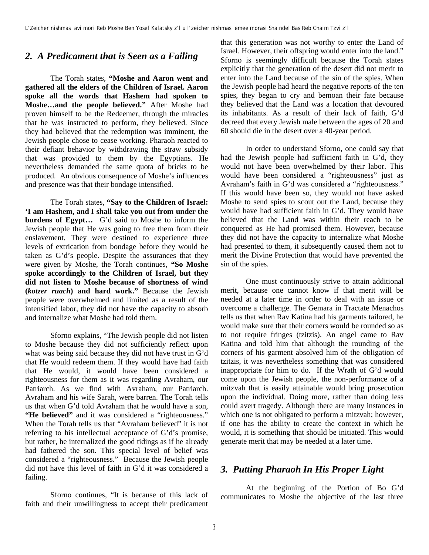#### *2. A Predicament that is Seen as a Failing*

The Torah states, **"Moshe and Aaron went and gathered all the elders of the Children of Israel. Aaron spoke all the words that Hashem had spoken to Moshe…and the people believed."** After Moshe had proven himself to be the Redeemer, through the miracles that he was instructed to perform, they believed. Since they had believed that the redemption was imminent, the Jewish people chose to cease working. Pharaoh reacted to their defiant behavior by withdrawing the straw subsidy that was provided to them by the Egyptians. He nevertheless demanded the same quota of bricks to be produced. An obvious consequence of Moshe's influences and presence was that their bondage intensified.

The Torah states, **"Say to the Children of Israel: 'I am Hashem, and I shall take you out from under the burdens of Egypt…** G'd said to Moshe to inform the Jewish people that He was going to free them from their enslavement. They were destined to experience three levels of extrication from bondage before they would be taken as G'd's people. Despite the assurances that they were given by Moshe, the Torah continues, **"So Moshe spoke accordingly to the Children of Israel, but they did not listen to Moshe because of shortness of wind (***kotzer ruach***) and hard work."** Because the Jewish people were overwhelmed and limited as a result of the intensified labor, they did not have the capacity to absorb and internalize what Moshe had told them.

Sforno explains, "The Jewish people did not listen to Moshe because they did not sufficiently reflect upon what was being said because they did not have trust in G'd that He would redeem them. If they would have had faith that He would, it would have been considered a righteousness for them as it was regarding Avraham, our Patriarch. As we find with Avraham, our Patriarch. Avraham and his wife Sarah, were barren. The Torah tells us that when G'd told Avraham that he would have a son, "He believed" and it was considered a "righteousness." When the Torah tells us that "Avraham believed" it is not referring to his intellectual acceptance of G'd's promise, but rather, he internalized the good tidings as if he already had fathered the son. This special level of belief was considered a "righteousness." Because the Jewish people did not have this level of faith in G'd it was considered a failing.

Sforno continues, "It is because of this lack of faith and their unwillingness to accept their predicament that this generation was not worthy to enter the Land of Israel. However, their offspring would enter into the land." Sforno is seemingly difficult because the Torah states explicitly that the generation of the desert did not merit to enter into the Land because of the sin of the spies. When the Jewish people had heard the negative reports of the ten spies, they began to cry and bemoan their fate because they believed that the Land was a location that devoured its inhabitants. As a result of their lack of faith, G'd decreed that every Jewish male between the ages of 20 and 60 should die in the desert over a 40-year period.

In order to understand Sforno, one could say that had the Jewish people had sufficient faith in G'd, they would not have been overwhelmed by their labor. This would have been considered a "righteousness" just as Avraham's faith in G'd was considered a "righteousness." If this would have been so, they would not have asked Moshe to send spies to scout out the Land, because they would have had sufficient faith in G'd. They would have believed that the Land was within their reach to be conquered as He had promised them. However, because they did not have the capacity to internalize what Moshe had presented to them, it subsequently caused them not to merit the Divine Protection that would have prevented the sin of the spies.

One must continuously strive to attain additional merit, because one cannot know if that merit will be needed at a later time in order to deal with an issue or overcome a challenge. The Gemara in Tractate Menachos tells us that when Rav Katina had his garments tailored, he would make sure that their corners would be rounded so as to not require fringes (tzitzis). An angel came to Rav Katina and told him that although the rounding of the corners of his garment absolved him of the obligation of tzitzis, it was nevertheless something that was considered inappropriate for him to do. If the Wrath of G'd would come upon the Jewish people, the non-performance of a mitzvah that is easily attainable would bring prosecution upon the individual. Doing more, rather than doing less could avert tragedy. Although there are many instances in which one is not obligated to perform a mitzvah; however, if one has the ability to create the context in which he would, it is something that should be initiated. This would generate merit that may be needed at a later time.

#### *3. Putting Pharaoh In His Proper Light*

At the beginning of the Portion of Bo G'd communicates to Moshe the objective of the last three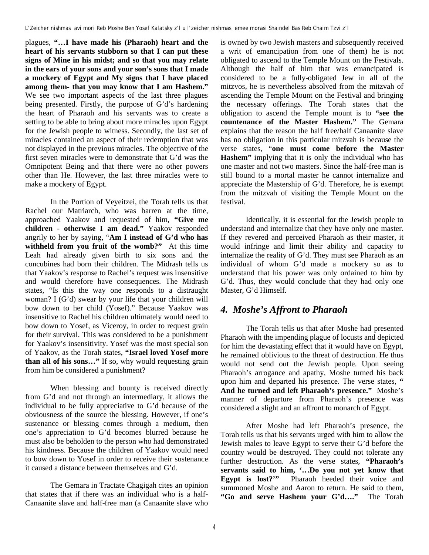plagues, **"…I have made his (Pharaoh) heart and the heart of his servants stubborn so that I can put these signs of Mine in his midst; and so that you may relate in the ears of your sons and your son's sons that I made a mockery of Egypt and My signs that I have placed among them- that you may know that I am Hashem."** We see two important aspects of the last three plagues being presented. Firstly, the purpose of G'd's hardening the heart of Pharaoh and his servants was to create a setting to be able to bring about more miracles upon Egypt for the Jewish people to witness. Secondly, the last set of miracles contained an aspect of their redemption that was not displayed in the previous miracles. The objective of the first seven miracles were to demonstrate that G'd was the Omnipotent Being and that there were no other powers other than He. However, the last three miracles were to make a mockery of Egypt.

In the Portion of Veyeitzei, the Torah tells us that Rachel our Matriarch, who was barren at the time, approached Yaakov and requested of him, **"Give me children - otherwise I am dead."** Yaakov responded angrily to her by saying, "**Am I instead of G'd who has withheld from you fruit of the womb?"** At this time Leah had already given birth to six sons and the concubines had born their children. The Midrash tells us that Yaakov's response to Rachel's request was insensitive and would therefore have consequences. The Midrash states, "Is this the way one responds to a distraught woman? I (G'd) swear by your life that your children will bow down to her child (Yosef)." Because Yaakov was insensitive to Rachel his children ultimately would need to bow down to Yosef, as Viceroy, in order to request grain for their survival. This was considered to be a punishment for Yaakov's insensitivity. Yosef was the most special son of Yaakov, as the Torah states, **"Israel loved Yosef more than all of his sons…"** If so, why would requesting grain from him be considered a punishment?

When blessing and bounty is received directly from G'd and not through an intermediary, it allows the individual to be fully appreciative to G'd because of the obviousness of the source the blessing. However, if one's sustenance or blessing comes through a medium, then one's appreciation to G'd becomes blurred because he must also be beholden to the person who had demonstrated his kindness. Because the children of Yaakov would need to bow down to Yosef in order to receive their sustenance it caused a distance between themselves and G'd.

The Gemara in Tractate Chagigah cites an opinion that states that if there was an individual who is a half-Canaanite slave and half-free man (a Canaanite slave who is owned by two Jewish masters and subsequently received a writ of emancipation from one of them) he is not obligated to ascend to the Temple Mount on the Festivals. Although the half of him that was emancipated is considered to be a fully-obligated Jew in all of the mitzvos, he is nevertheless absolved from the mitzvah of ascending the Temple Mount on the Festival and bringing the necessary offerings. The Torah states that the obligation to ascend the Temple mount is to **"see the countenance of the Master Hashem."** The Gemara explains that the reason the half free/half Canaanite slave has no obligation in this particular mitzvah is because the verse states, "**one must come before the Master Hashem"** implying that it is only the individual who has one master and not two masters. Since the half-free man is still bound to a mortal master he cannot internalize and appreciate the Mastership of G'd. Therefore, he is exempt from the mitzvah of visiting the Temple Mount on the festival.

Identically, it is essential for the Jewish people to understand and internalize that they have only one master. If they revered and perceived Pharaoh as their master, it would infringe and limit their ability and capacity to internalize the reality of G'd. They must see Pharaoh as an individual of whom G'd made a mockery so as to understand that his power was only ordained to him by G'd. Thus, they would conclude that they had only one Master, G'd Himself.

#### *4. Moshe's Affront to Pharaoh*

The Torah tells us that after Moshe had presented Pharaoh with the impending plague of locusts and depicted for him the devastating effect that it would have on Egypt, he remained oblivious to the threat of destruction. He thus would not send out the Jewish people. Upon seeing Pharaoh's arrogance and apathy, Moshe turned his back upon him and departed his presence. The verse states, **" And he turned and left Pharaoh's presence."** Moshe's manner of departure from Pharaoh's presence was considered a slight and an affront to monarch of Egypt.

After Moshe had left Pharaoh's presence, the Torah tells us that his servants urged with him to allow the Jewish males to leave Egypt to serve their G'd before the country would be destroyed. They could not tolerate any further destruction. As the verse states, **"Pharaoh's servants said to him, '…Do you not yet know that Egypt is lost?'"** Pharaoh heeded their voice and summoned Moshe and Aaron to return. He said to them, **"Go and serve Hashem your G'd…."** The Torah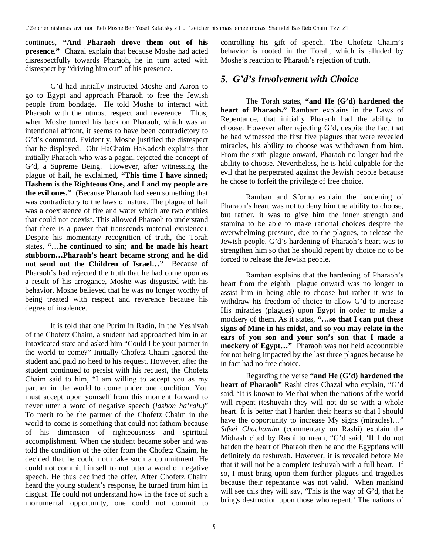continues, **"And Pharaoh drove them out of his presence."** Chazal explain that because Moshe had acted disrespectfully towards Pharaoh, he in turn acted with disrespect by "driving him out" of his presence.

G'd had initially instructed Moshe and Aaron to go to Egypt and approach Pharaoh to free the Jewish people from bondage. He told Moshe to interact with Pharaoh with the utmost respect and reverence. Thus, when Moshe turned his back on Pharaoh, which was an intentional affront, it seems to have been contradictory to G'd's command. Evidently, Moshe justified the disrespect that he displayed. Ohr HaChaim HaKadosh explains that initially Pharaoh who was a pagan, rejected the concept of G'd, a Supreme Being. However, after witnessing the plague of hail, he exclaimed, **"This time I have sinned; Hashem is the Righteous One, and I and my people are the evil ones."** (Because Pharaoh had seen something that was contradictory to the laws of nature. The plague of hail was a coexistence of fire and water which are two entities that could not coexist. This allowed Pharaoh to understand that there is a power that transcends material existence). Despite his momentary recognition of truth, the Torah states, **"…he continued to sin; and he made his heart stubborn…Pharaoh's heart became strong and he did not send out the Children of Israel…"** Because of Pharaoh's had rejected the truth that he had come upon as a result of his arrogance, Moshe was disgusted with his behavior. Moshe believed that he was no longer worthy of being treated with respect and reverence because his degree of insolence.

It is told that one Purim in Radin, in the Yeshivah of the Chofetz Chaim, a student had approached him in an intoxicated state and asked him "Could I be your partner in the world to come?" Initially Chofetz Chaim ignored the student and paid no heed to his request. However, after the student continued to persist with his request, the Chofetz Chaim said to him, "I am willing to accept you as my partner in the world to come under one condition. You must accept upon yourself from this moment forward to never utter a word of negative speech (*lashon ha'rah*.)" To merit to be the partner of the Chofetz Chaim in the world to come is something that could not fathom because of his dimension of righteousness and spiritual accomplishment. When the student became sober and was told the condition of the offer from the Chofetz Chaim, he decided that he could not make such a commitment. He could not commit himself to not utter a word of negative speech. He thus declined the offer. After Chofetz Chaim heard the young student's response, he turned from him in disgust. He could not understand how in the face of such a monumental opportunity, one could not commit to controlling his gift of speech. The Chofetz Chaim's behavior is rooted in the Torah, which is alluded by Moshe's reaction to Pharaoh's rejection of truth.

# *5. G'd's Involvement with Choice*

The Torah states, **"and He (G'd) hardened the heart of Pharaoh."** Rambam explains in the Laws of Repentance, that initially Pharaoh had the ability to choose. However after rejecting G'd, despite the fact that he had witnessed the first five plagues that were revealed miracles, his ability to choose was withdrawn from him. From the sixth plague onward, Pharaoh no longer had the ability to choose. Nevertheless, he is held culpable for the evil that he perpetrated against the Jewish people because he chose to forfeit the privilege of free choice.

Ramban and Sforno explain the hardening of Pharaoh's heart was not to deny him the ability to choose, but rather, it was to give him the inner strength and stamina to be able to make rational choices despite the overwhelming pressure, due to the plagues, to release the Jewish people. G'd's hardening of Pharaoh's heart was to strengthen him so that he should repent by choice no to be forced to release the Jewish people.

Ramban explains that the hardening of Pharaoh's heart from the eighth plague onward was no longer to assist him in being able to choose but rather it was to withdraw his freedom of choice to allow G'd to increase His miracles (plagues) upon Egypt in order to make a mockery of them. As it states, **"…so that I can put these signs of Mine in his midst, and so you may relate in the ears of you son and your son's son that I made a mockery of Egypt…"** Pharaoh was not held accountable for not being impacted by the last three plagues because he in fact had no free choice.

Regarding the verse **"and He (G'd) hardened the heart of Pharaoh"** Rashi cites Chazal who explain, "G'd said, 'It is known to Me that when the nations of the world will repent (teshuvah) they will not do so with a whole heart. It is better that I harden their hearts so that I should have the opportunity to increase My signs (miracles)..." *Sifsei Chachamim* (commentary on Rashi) explain the Midrash cited by Rashi to mean, "G'd said, 'If I do not harden the heart of Pharaoh then he and the Egyptians will definitely do teshuvah. However, it is revealed before Me that it will not be a complete teshuvah with a full heart. If so, I must bring upon them further plagues and tragedies because their repentance was not valid. When mankind will see this they will say, 'This is the way of G'd, that he brings destruction upon those who repent.' The nations of